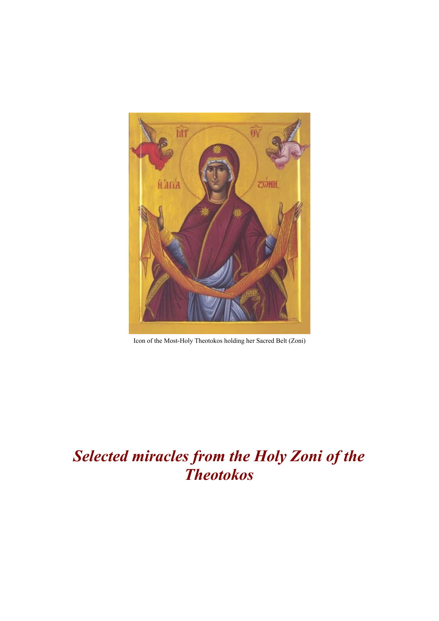

Icon of the Most-Holy Theotokos holding her Sacred Belt (Zoni)

# *Selected miracles from the Holy Zoni of the Theotokos*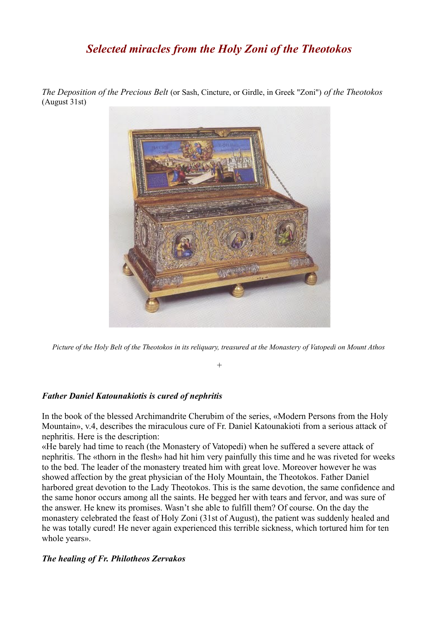# *Selected miracles from the Holy Zoni of the Theotokos*

*The Deposition of the Precious Belt* (or Sash, Cincture, or Girdle, in Greek "Zoni") *of the Theotokos* (August 31st)



*Picture of the Holy Belt of the Theotokos in its reliquary, treasured at the Monastery of Vatopedi on Mount Athos*

*+*

#### *Father Daniel Katounakiotis is cured of nephritis*

In the book of the blessed Archimandrite Cherubim of the series, «Modern Persons from the Holy Mountain», v.4, describes the miraculous cure of Fr. Daniel Katounakioti from a serious attack of nephritis. Here is the description:

«He barely had time to reach (the Monastery of Vatopedi) when he suffered a severe attack of nephritis. The «thorn in the flesh» had hit him very painfully this time and he was riveted for weeks to the bed. The leader of the monastery treated him with great love. Moreover however he was showed affection by the great physician of the Holy Mountain, the Theotokos. Father Daniel harbored great devotion to the Lady Theotokos. This is the same devotion, the same confidence and the same honor occurs among all the saints. He begged her with tears and fervor, and was sure of the answer. He knew its promises. Wasn't she able to fulfill them? Of course. On the day the monastery celebrated the feast of Holy Zoni (31st of August), the patient was suddenly healed and he was totally cured! He never again experienced this terrible sickness, which tortured him for ten whole years».

## *The healing of Fr. Philotheos Zervakos*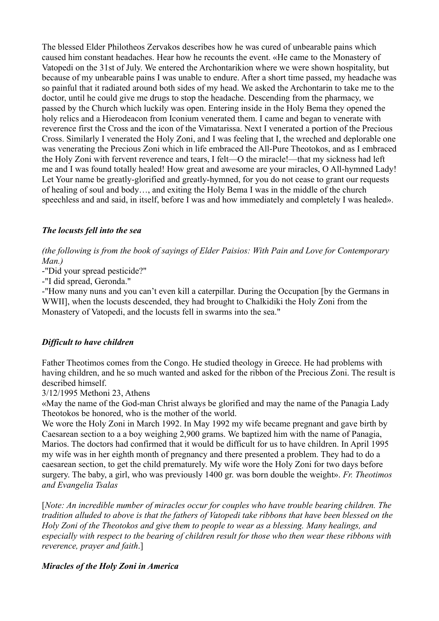The blessed Elder Philotheos Zervakos describes how he was cured of unbearable pains which caused him constant headaches. Hear how he recounts the event. «He came to the Monastery of Vatopedi on the 31st of July. We entered the Archontarikion where we were shown hospitality, but because of my unbearable pains I was unable to endure. After a short time passed, my headache was so painful that it radiated around both sides of my head. We asked the Archontarin to take me to the doctor, until he could give me drugs to stop the headache. Descending from the pharmacy, we passed by the Church which luckily was open. Entering inside in the Holy Bema they opened the holy relics and a Hierodeacon from Iconium venerated them. I came and began to venerate with reverence first the Cross and the icon of the Vimatarissa. Next I venerated a portion of the Precious Cross. Similarly I venerated the Holy Zoni, and I was feeling that I, the wreched and deplorable one was venerating the Precious Zoni which in life embraced the All-Pure Theotokos, and as I embraced the Holy Zoni with fervent reverence and tears, I felt—O the miracle!—that my sickness had left me and I was found totally healed! How great and awesome are your miracles, O All-hymned Lady! Let Your name be greatly-glorified and greatly-hymned, for you do not cease to grant our requests of healing of soul and body…, and exiting the Holy Bema I was in the middle of the church speechless and and said, in itself, before I was and how immediately and completely I was healed».

### *The locusts fell into the sea*

*(the following is from the book of sayings of Elder Paisios: With Pain and Love for Contemporary Man.)*

-"Did your spread pesticide?"

-"I did spread, Geronda."

-"How many nuns and you can't even kill a caterpillar. During the Occupation [by the Germans in WWII], when the locusts descended, they had brought to Chalkidiki the Holy Zoni from the Monastery of Vatopedi, and the locusts fell in swarms into the sea."

#### *Difficult to have children*

Father Theotimos comes from the Congo. He studied theology in Greece. He had problems with having children, and he so much wanted and asked for the ribbon of the Precious Zoni. The result is described himself.

3/12/1995 Methoni 23, Athens

«May the name of the God-man Christ always be glorified and may the name of the Panagia Lady Theotokos be honored, who is the mother of the world.

We wore the Holy Zoni in March 1992. In May 1992 my wife became pregnant and gave birth by Caesarean section to a a boy weighing 2,900 grams. We baptized him with the name of Panagia, Marios. The doctors had confirmed that it would be difficult for us to have children. In April 1995 my wife was in her eighth month of pregnancy and there presented a problem. They had to do a caesarean section, to get the child prematurely. My wife wore the Holy Zoni for two days before surgery. The baby, a girl, who was previously 1400 gr. was born double the weight». *Fr. Theotimos and Evangelia Tsalas*

[*Note: An incredible number of miracles occur for couples who have trouble bearing children. The tradition alluded to above is that the fathers of Vatopedi take ribbons that have been blessed on the Holy Zoni of the Theotokos and give them to people to wear as a blessing. Many healings, and especially with respect to the bearing of children result for those who then wear these ribbons with reverence, prayer and faith*.]

#### *Miracles of the Holy Zoni in America*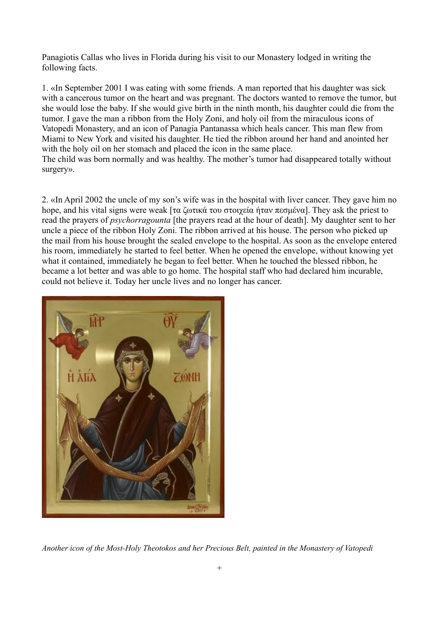Panagiotis Callas who lives in Florida during his visit to our Monastery lodged in writing the following facts.

1. «In September 2001 I was eating with some friends. A man reported that his daughter was sick with a cancerous tumor on the heart and was pregnant. The doctors wanted to remove the tumor, but she would lose the baby. If she would give birth in the ninth month, his daughter could die from the tumor. I gave the man a ribbon from the Holy Zoni, and holy oil from the miraculous icons of Vatopedi Monastery, and an icon of Panagia Pantanassa which heals cancer. This man flew from Miami to New York and visited his daughter. He tied the ribbon around her hand and anointed her with the holy oil on her stomach and placed the icon in the same place.

The child was born normally and was healthy. The mother's tumor had disappeared totally without surgery».

2. «In April 2002 the uncle of my son's wife was in the hospital with liver cancer. They gave him no hope, and his vital signs were weak [τα ζωτικά του στοιχεία ήταν πεσμένα]. They ask the priest to read the prayers of *psychorragounta* [the prayers read at the hour of death]. My daughter sent to her uncle a piece of the ribbon Holy Zoni. The ribbon arrived at his house. The person who picked up the mail from his house brought the sealed envelope to the hospital. As soon as the envelope entered his room, immediately he started to feel better. When he opened the envelope, without knowing yet what it contained, immediately he began to feel better. When he touched the blessed ribbon, he became a lot better and was able to go home. The hospital staff who had declared him incurable, could not believe it. Today her uncle lives and no longer has cancer.



*Another icon of the Most-Holy Theotokos and her Precious Belt, painted in the Monastery of Vatopedi*